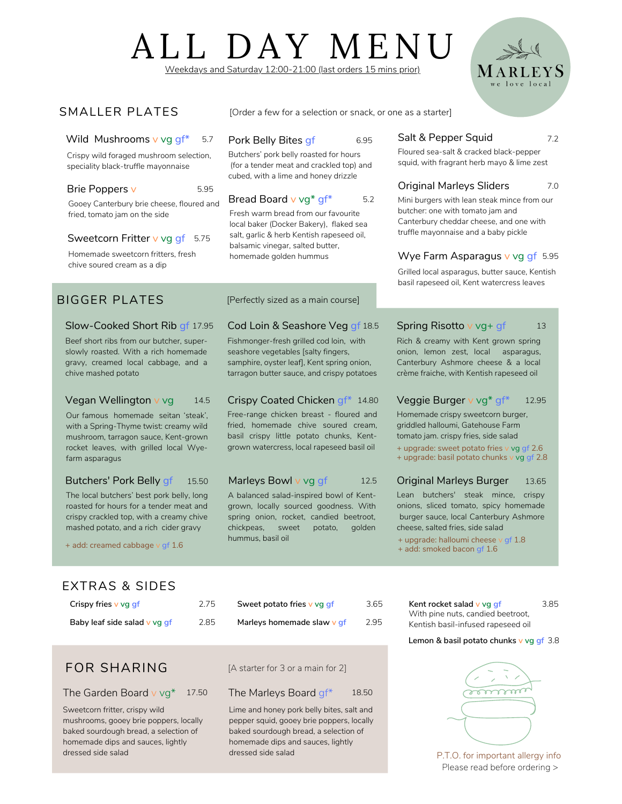# ALL DAY MENU Weekdays and Saturday 12:00-21:00 (last orders 15 mins prior)

7.2

13

## SMALLER PLATES [Order a few for a selection or snack, or one as a starter]

#### Wild Mushrooms  $v$  vg  $qf^*$ 5.7

Crispy wild foraged mushroom selection, speciality black-truffle mayonnaise

#### Brie Poppers v 5.95

Gooey Canterbury brie cheese, floured and fried, tomato jam on the side

## Sweetcorn Fritter v vg gf - 5.75

Homemade sweetcorn fritters, fresh chive soured cream as a dip

## BIGGER PLATES

## Slow-Cooked Short Rib gf 17.95

Beef short ribs from our butcher, superslowly roasted. With a rich homemade gravy, creamed local cabbage, and a chive mashed potato

#### Vegan Wellington v vg 14.5

Our famous homemade seitan 'steak', with a Spring-Thyme twist: creamy wild mushroom, tarragon sauce, Kent-grown rocket leaves, with grilled local Wyefarm asparagus

#### Butchers' Pork Belly gf 15.50

The local butchers' best pork belly, long roasted for hours for a tender meat and crispy crackled top, with a creamy chive mashed potato, and a rich cider gravy

+ add: creamed cabbage v gf 1.6

#### Pork Belly Bites gf 6.95

Butchers' pork belly roasted for hours (for a tender meat and crackled top) and cubed, with a lime and honey drizzle

#### Bread Board v vg\* gf\*

Fresh warm bread from our favourite local baker (Docker Bakery), flaked sea salt, garlic & herb Kentish rapeseed oil, balsamic vinegar, salted butter, homemade golden hummus

#### [Perfectly sized as a main course]

#### Cod Loin & Seashore Veg gf 18.5

Fishmonger-fresh grilled cod loin, with seashore vegetables [salty fingers, samphire, oyster leaf], Kent spring onion, tarragon butter sauce, and crispy potatoes

## Crispy Coated Chicken gf\* 14.80

Free-range chicken breast - floured and fried, homemade chive soured cream, basil crispy little potato chunks, Kentgrown watercress, local rapeseed basil oil

### Marleys Bowl v vg gf

A balanced salad-inspired bowl of Kentgrown, locally sourced goodness. With spring onion, rocket, candied beetroot, chickpeas, sweet potato, golden hummus, basil oil

### Salt & Pepper Squid

Floured sea-salt & cracked black-pepper squid, with fragrant herb mayo & lime zest

#### Original Marleys Sliders 7.0

Mini burgers with lean steak mince from our butcher: one with tomato jam and Canterbury cheddar cheese, and one with truffle mayonnaise and a baby pickle

### Wye Farm Asparagus v vg qf 5.95

Grilled local asparagus, butter sauce, Kentish basil rapeseed oil, Kent watercress leaves

## Spring Risotto v vg+ gf

Rich & creamy with Kent grown spring onion, lemon zest, local asparagus, Canterbury Ashmore cheese & a local crème fraiche, with Kentish rapeseed oil

#### Veggie Burger v vg\* gf\* 12.95

Homemade crispy sweetcorn burger, griddled halloumi, Gatehouse Farm tomato jam. crispy fries, side salad

+ upgrade: sweet potato fries v vg gf 2.6 + upgrade: basil potato chunks v vg gf 2.8

#### Original Marleys Burger 13.65

Lean butchers' steak mince, crispy onions, sliced tomato, spicy homemade burger sauce, local Canterbury Ashmore cheese, salted fries, side salad

+ upgrade: halloumi cheese v gf 1.8

+ add: smoked bacon gf 1.6

## EXTRAS & SIDES

| Crispy fries v vg gf         | 2.75 |
|------------------------------|------|
| Baby leaf side salad v vg qf | 285  |

## FOR SHARING

The Garden Board  $v$  vg\* 17.50

Sweetcorn fritter, crispy wild mushrooms, gooey brie poppers, locally baked sourdough bread, a selection of homemade dips and sauces, lightly dressed side salad

| Sweet potato fries v vg gf | 3.65 |
|----------------------------|------|
| Marleys homemade slaw y qf | 2.95 |

[A starter for 3 or a main for 2]

### 17.50 The Marleys Board  $gf^*$  18.50

Lime and honey pork belly bites, salt and pepper squid, gooey brie poppers, locally baked sourdough bread, a selection of homemade dips and sauces, lightly dressed side salad

**Kent rocket salad v vg gf** 3.85 With pine nuts, candied beetroot, Kentish basil-infused rapeseed oil

#### 3.8 **Lemon & basil potato chunks v vg gf**



P.T.O. for important allergy info Please read before ordering >

5.2

12.5